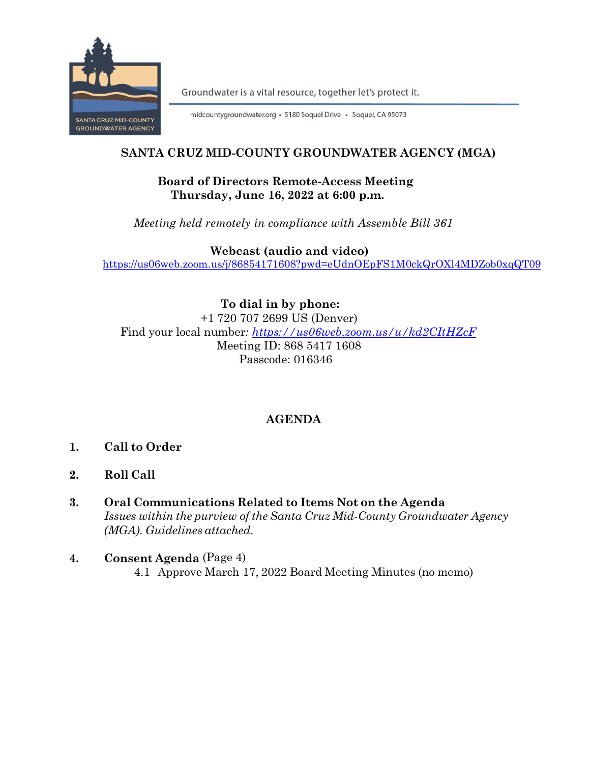

Groundwater is a vital resource, together let's protect it.

midcountygroundwater.org · 5180 Soquel Drive · Soquel, CA 95073

## **SANTA CRUZ MID-COUNTY GROUNDWATER AGENCY (MGA)**

## **Board of Directors Remote-Access Meeting Thursday, June 16, 2022 at 6:00 p.m.**

*Meeting held remotely in compliance with Assemble Bill 361*

 **Webcast (audio and video)** <https://us06web.zoom.us/j/86854171608?pwd=eUdnOEpFS1M0ckQrOXl4MDZob0xqQT09>

**To dial in by phone:** +1 720 707 2699 US (Denver) Find your local number*:<https://us06web.zoom.us/u/kd2CItHZcF>* Meeting ID: 868 5417 1608 Passcode: 016346

# **AGENDA**

- **1. Call to Order**
- **2. Roll Call**
- **3. Oral Communications Related to Items Not on the Agenda** *Issues within the purview of the Santa Cruz Mid-County Groundwater Agency (MGA). Guidelines attached.*
- **4. Consent Agenda** (Page 4)4.1 Approve March 17, 2022 Board Meeting Minutes (no memo)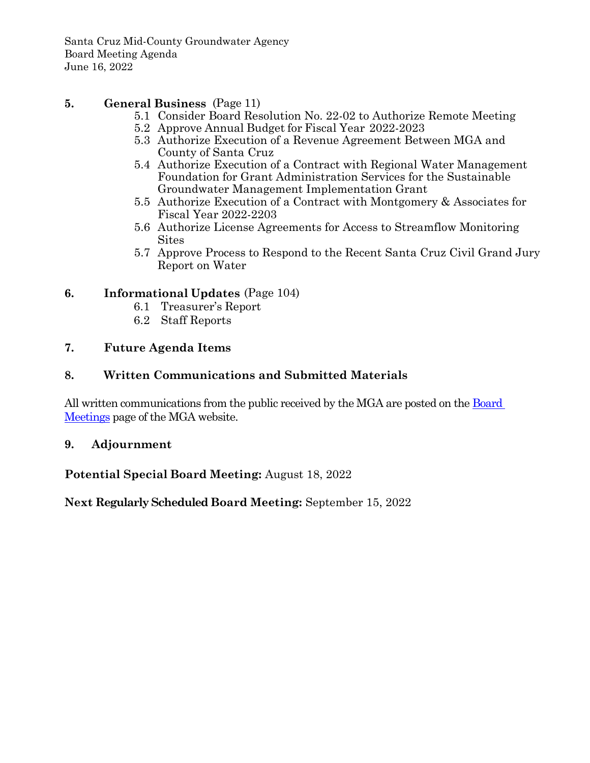Santa Cruz Mid-County Groundwater Agency Board Meeting Agenda June 16, 2022

## **5. General Business** (Page 11)

- 5.1 Consider Board Resolution No. 22-02 to Authorize Remote Meeting
- 5.2 Approve Annual Budget for Fiscal Year 2022-2023
- 5.3 Authorize Execution of a Revenue Agreement Between MGA and County of Santa Cruz
- 5.4 Authorize Execution of a Contract with Regional Water Management Foundation for Grant Administration Services for the Sustainable Groundwater Management Implementation Grant
- 5.5 Authorize Execution of a Contract with Montgomery & Associates for Fiscal Year 2022-2203
- 5.6 Authorize License Agreements for Access to Streamflow Monitoring **Sites**
- 5.7 Approve Process to Respond to the Recent Santa Cruz Civil Grand Jury Report on Water

## **6. Informational Updates** (Page 104)

- 6.1 Treasurer's Report
- 6.2 Staff Reports

### **7. Future Agenda Items**

## **8. Written Communications and Submitted Materials**

All written communications from the public received by the MGA are posted on the [Board](https://www.midcountygroundwater.org/committee-meetings)  [Meetings](https://www.midcountygroundwater.org/committee-meetings) page of the MGA website.

### **9. Adjournment**

**Potential Special Board Meeting:** August 18, 2022

**Next Regularly Scheduled Board Meeting:** September 15, 2022